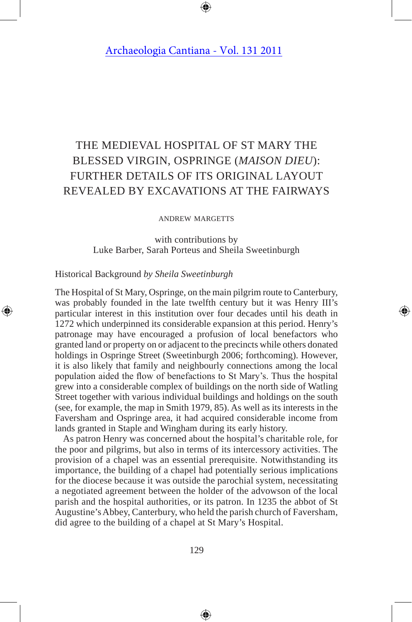# The Medieval Hospital of St Mary the Blessed Virgin, Ospringe (*Maison Dieu*): further details of its original layout revealed by excavations at THE Fairways

#### andrew margetts

with contributions by Luke Barber, Sarah Porteus and Sheila Sweetinburgh

## Historical Background *by Sheila Sweetinburgh*

The Hospital of St Mary, Ospringe, on the main pilgrim route to Canterbury, was probably founded in the late twelfth century but it was Henry III's particular interest in this institution over four decades until his death in 1272 which underpinned its considerable expansion at this period. Henry's patronage may have encouraged a profusion of local benefactors who granted land or property on or adjacent to the precincts while others donated holdings in Ospringe Street (Sweetinburgh 2006; forthcoming). However, it is also likely that family and neighbourly connections among the local population aided the flow of benefactions to St Mary's. Thus the hospital grew into a considerable complex of buildings on the north side of Watling Street together with various individual buildings and holdings on the south (see, for example, the map in Smith 1979, 85). As well as its interests in the Faversham and Ospringe area, it had acquired considerable income from lands granted in Staple and Wingham during its early history.

As patron Henry was concerned about the hospital's charitable role, for the poor and pilgrims, but also in terms of its intercessory activities. The provision of a chapel was an essential prerequisite. Notwithstanding its importance, the building of a chapel had potentially serious implications for the diocese because it was outside the parochial system, necessitating a negotiated agreement between the holder of the advowson of the local parish and the hospital authorities, or its patron. In 1235 the abbot of St Augustine's Abbey, Canterbury, who held the parish church of Faversham, did agree to the building of a chapel at St Mary's Hospital.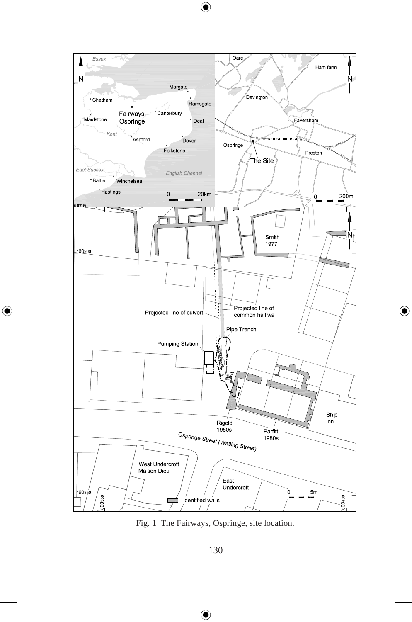

Fig. 1 The Fairways, Ospringe, site location.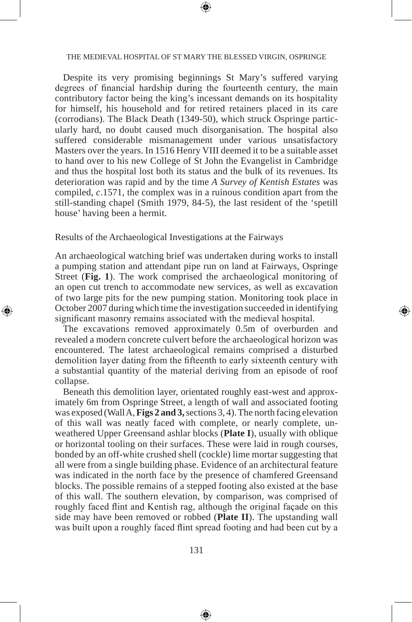#### THE MEDIEVAL HOSPITAL OF ST MARY THE BLESSED VIRGIN, OSPRINGE

Despite its very promising beginnings St Mary's suffered varying degrees of financial hardship during the fourteenth century, the main contributory factor being the king's incessant demands on its hospitality for himself, his household and for retired retainers placed in its care (corrodians). The Black Death (1349-50), which struck Ospringe particularly hard, no doubt caused much disorganisation. The hospital also suffered considerable mismanagement under various unsatisfactory Masters over the years. In 1516 Henry VIII deemed it to be a suitable asset to hand over to his new College of St John the Evangelist in Cambridge and thus the hospital lost both its status and the bulk of its revenues. Its deterioration was rapid and by the time *A Survey of Kentish Estates* was compiled, *c*.1571, the complex was in a ruinous condition apart from the still-standing chapel (Smith 1979, 84-5), the last resident of the 'spetill house' having been a hermit.

Results of the Archaeological Investigations at the Fairways

An archaeological watching brief was undertaken during works to install a pumping station and attendant pipe run on land at Fairways, Ospringe Street (**Fig. 1**). The work comprised the archaeological monitoring of an open cut trench to accommodate new services, as well as excavation of two large pits for the new pumping station. Monitoring took place in October 2007 during which time the investigation succeeded in identifying significant masonry remains associated with the medieval hospital.

The excavations removed approximately 0.5m of overburden and revealed a modern concrete culvert before the archaeological horizon was encountered. The latest archaeological remains comprised a disturbed demolition layer dating from the fifteenth to early sixteenth century with a substantial quantity of the material deriving from an episode of roof collapse.

Beneath this demolition layer, orientated roughly east-west and approximately 6m from Ospringe Street, a length of wall and associated footing was exposed (Wall A, **Figs 2 and 3,** sections 3, 4). The north facing elevation of this wall was neatly faced with complete, or nearly complete, unweathered Upper Greensand ashlar blocks (**Plate I**), usually with oblique or horizontal tooling on their surfaces. These were laid in rough courses, bonded by an off-white crushed shell (cockle) lime mortar suggesting that all were from a single building phase. Evidence of an architectural feature was indicated in the north face by the presence of chamfered Greensand blocks. The possible remains of a stepped footing also existed at the base of this wall. The southern elevation, by comparison, was comprised of roughly faced flint and Kentish rag, although the original façade on this side may have been removed or robbed (**Plate II**). The upstanding wall was built upon a roughly faced flint spread footing and had been cut by a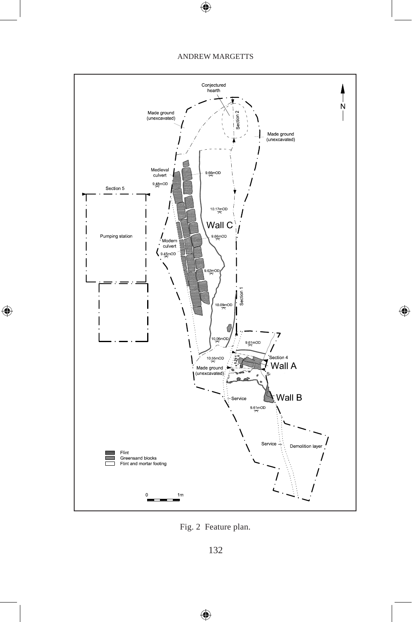

Fig. 2 Feature plan.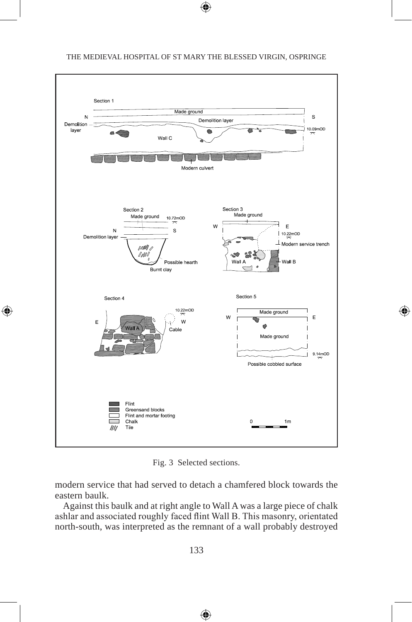

Fig. 3 Selected sections.

modern service that had served to detach a chamfered block towards the eastern baulk.

Against this baulk and at right angle to Wall A was a large piece of chalk ashlar and associated roughly faced flint Wall B. This masonry, orientated north-south, was interpreted as the remnant of a wall probably destroyed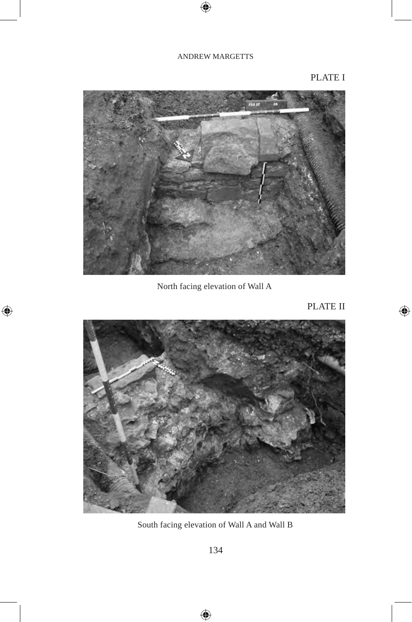## PLATE I



North facing elevation of Wall A

PLATE II



South facing elevation of Wall A and Wall B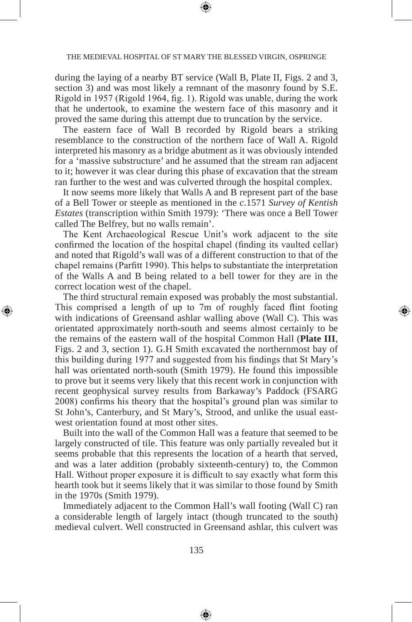during the laying of a nearby BT service (Wall B, Plate II, Figs. 2 and 3, section 3) and was most likely a remnant of the masonry found by S.E. Rigold in 1957 (Rigold 1964, fig. 1). Rigold was unable, during the work that he undertook, to examine the western face of this masonry and it proved the same during this attempt due to truncation by the service.

The eastern face of Wall B recorded by Rigold bears a striking resemblance to the construction of the northern face of Wall A. Rigold interpreted his masonry as a bridge abutment as it was obviously intended for a 'massive substructure' and he assumed that the stream ran adjacent to it; however it was clear during this phase of excavation that the stream ran further to the west and was culverted through the hospital complex.

It now seems more likely that Walls A and B represent part of the base of a Bell Tower or steeple as mentioned in the *c*.1571 *Survey of Kentish Estates* (transcription within Smith 1979): 'There was once a Bell Tower called The Belfrey, but no walls remain'.

The Kent Archaeological Rescue Unit's work adjacent to the site confirmed the location of the hospital chapel (finding its vaulted cellar) and noted that Rigold's wall was of a different construction to that of the chapel remains (Parfitt 1990). This helps to substantiate the interpretation of the Walls A and B being related to a bell tower for they are in the correct location west of the chapel.

The third structural remain exposed was probably the most substantial. This comprised a length of up to 7m of roughly faced flint footing with indications of Greensand ashlar walling above (Wall C). This was orientated approximately north-south and seems almost certainly to be the remains of the eastern wall of the hospital Common Hall (**Plate III**, Figs. 2 and 3, section 1). G.H Smith excavated the northernmost bay of this building during 1977 and suggested from his findings that St Mary's hall was orientated north-south (Smith 1979). He found this impossible to prove but it seems very likely that this recent work in conjunction with recent geophysical survey results from Barkaway's Paddock (FSARG 2008) confirms his theory that the hospital's ground plan was similar to St John's, Canterbury, and St Mary's, Strood, and unlike the usual eastwest orientation found at most other sites.

Built into the wall of the Common Hall was a feature that seemed to be largely constructed of tile. This feature was only partially revealed but it seems probable that this represents the location of a hearth that served, and was a later addition (probably sixteenth-century) to, the Common Hall. Without proper exposure it is difficult to say exactly what form this hearth took but it seems likely that it was similar to those found by Smith in the 1970s (Smith 1979).

Immediately adjacent to the Common Hall's wall footing (Wall C) ran a considerable length of largely intact (though truncated to the south) medieval culvert. Well constructed in Greensand ashlar, this culvert was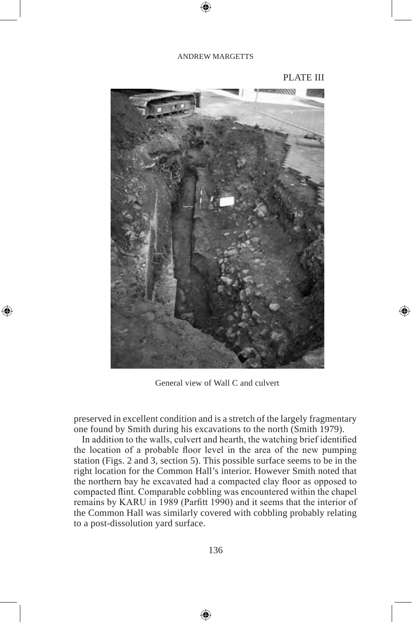## PLATE III



General view of Wall C and culvert

preserved in excellent condition and is a stretch of the largely fragmentary one found by Smith during his excavations to the north (Smith 1979).

In addition to the walls, culvert and hearth, the watching brief identified the location of a probable floor level in the area of the new pumping station (Figs. 2 and 3, section 5). This possible surface seems to be in the right location for the Common Hall's interior. However Smith noted that the northern bay he excavated had a compacted clay floor as opposed to compacted flint. Comparable cobbling was encountered within the chapel remains by KARU in 1989 (Parfitt 1990) and it seems that the interior of the Common Hall was similarly covered with cobbling probably relating to a post-dissolution yard surface.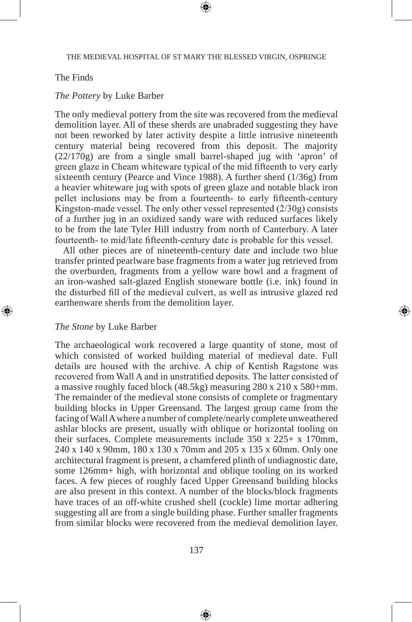## The Finds

#### *The Pottery* by Luke Barber

The only medieval pottery from the site was recovered from the medieval demolition layer. All of these sherds are unabraded suggesting they have not been reworked by later activity despite a little intrusive nineteenth century material being recovered from this deposit. The majority (22/170g) are from a single small barrel-shaped jug with 'apron' of green glaze in Cheam whiteware typical of the mid fifteenth to very early sixteenth century (Pearce and Vince 1988). A further sherd (1/36g) from a heavier whiteware jug with spots of green glaze and notable black iron pellet inclusions may be from a fourteenth- to early fifteenth-century Kingston-made vessel. The only other vessel represented (2/30g) consists of a further jug in an oxidized sandy ware with reduced surfaces likely to be from the late Tyler Hill industry from north of Canterbury. A later fourteenth- to mid/late fifteenth-century date is probable for this vessel.

All other pieces are of nineteenth-century date and include two blue transfer printed pearlware base fragments from a water jug retrieved from the overburden, fragments from a yellow ware bowl and a fragment of an iron-washed salt-glazed English stoneware bottle (i.e. ink) found in the disturbed fill of the medieval culvert, as well as intrusive glazed red earthenware sherds from the demolition layer.

#### *The Stone* by Luke Barber

The archaeological work recovered a large quantity of stone, most of which consisted of worked building material of medieval date. Full details are housed with the archive. A chip of Kentish Ragstone was recovered from Wall A and in unstratified deposits. The latter consisted of a massive roughly faced block (48.5kg) measuring 280 x 210 x 580+mm. The remainder of the medieval stone consists of complete or fragmentary building blocks in Upper Greensand. The largest group came from the facing of Wall A where a number of complete/nearly complete unweathered ashlar blocks are present, usually with oblique or horizontal tooling on their surfaces. Complete measurements include 350 x 225+ x 170mm, 240 x 140 x 90mm, 180 x 130 x 70mm and 205 x 135 x 60mm. Only one architectural fragment is present, a chamfered plinth of undiagnostic date, some 126mm+ high, with horizontal and oblique tooling on its worked faces. A few pieces of roughly faced Upper Greensand building blocks are also present in this context. A number of the blocks/block fragments have traces of an off-white crushed shell (cockle) lime mortar adhering suggesting all are from a single building phase. Further smaller fragments from similar blocks were recovered from the medieval demolition layer.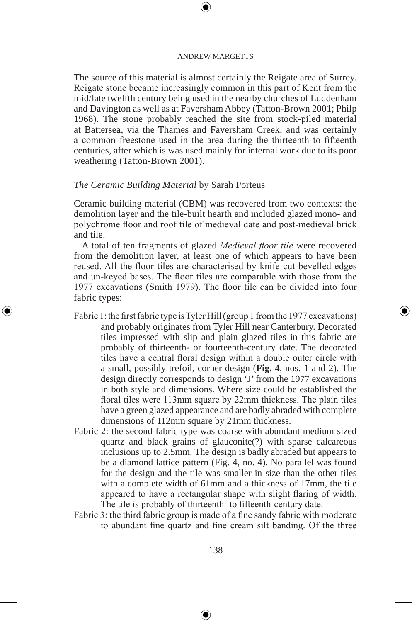The source of this material is almost certainly the Reigate area of Surrey. Reigate stone became increasingly common in this part of Kent from the mid/late twelfth century being used in the nearby churches of Luddenham and Davington as well as at Faversham Abbey (Tatton-Brown 2001; Philp 1968). The stone probably reached the site from stock-piled material at Battersea, via the Thames and Faversham Creek, and was certainly a common freestone used in the area during the thirteenth to fifteenth centuries, after which is was used mainly for internal work due to its poor weathering (Tatton-Brown 2001).

## *The Ceramic Building Material* by Sarah Porteus

Ceramic building material (CBM) was recovered from two contexts: the demolition layer and the tile-built hearth and included glazed mono- and polychrome floor and roof tile of medieval date and post-medieval brick and tile.

A total of ten fragments of glazed *Medieval floor tile* were recovered from the demolition layer, at least one of which appears to have been reused. All the floor tiles are characterised by knife cut bevelled edges and un-keyed bases. The floor tiles are comparable with those from the 1977 excavations (Smith 1979). The floor tile can be divided into four fabric types:

- Fabric 1: the first fabric type is Tyler Hill (group 1 from the 1977 excavations) and probably originates from Tyler Hill near Canterbury. Decorated tiles impressed with slip and plain glazed tiles in this fabric are probably of thirteenth- or fourteenth-century date. The decorated tiles have a central floral design within a double outer circle with a small, possibly trefoil, corner design (**Fig. 4**, nos. 1 and 2). The design directly corresponds to design 'J' from the 1977 excavations in both style and dimensions. Where size could be established the floral tiles were 113mm square by 22mm thickness. The plain tiles have a green glazed appearance and are badly abraded with complete dimensions of 112mm square by 21mm thickness.
- Fabric 2: the second fabric type was coarse with abundant medium sized quartz and black grains of glauconite(?) with sparse calcareous inclusions up to 2.5mm. The design is badly abraded but appears to be a diamond lattice pattern (Fig. 4, no. 4). No parallel was found for the design and the tile was smaller in size than the other tiles with a complete width of 61mm and a thickness of 17mm, the tile appeared to have a rectangular shape with slight flaring of width. The tile is probably of thirteenth- to fifteenth-century date.
- Fabric 3: the third fabric group is made of a fine sandy fabric with moderate to abundant fine quartz and fine cream silt banding. Of the three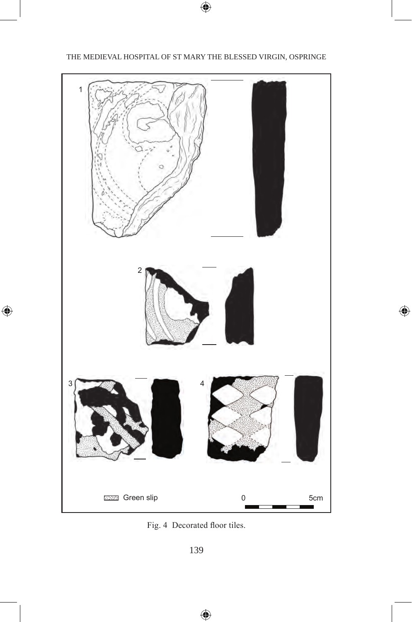## THE MEDIEVAL HOSPITAL OF ST MARY THE BLESSED VIRGIN, OSPRINGE



Fig. 4 Decorated floor tiles.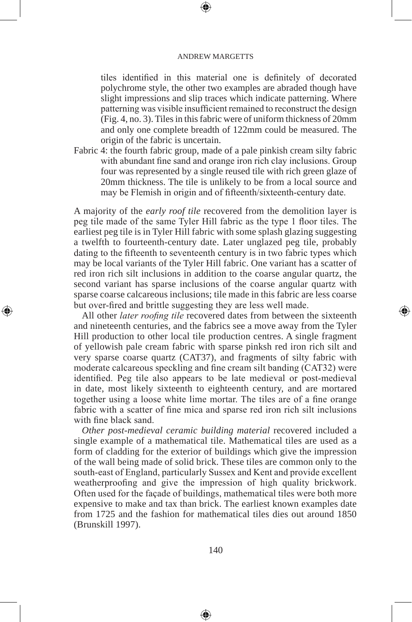tiles identified in this material one is definitely of decorated polychrome style, the other two examples are abraded though have slight impressions and slip traces which indicate patterning. Where patterning was visible insufficient remained to reconstruct the design (Fig. 4, no. 3). Tiles in this fabric were of uniform thickness of 20mm and only one complete breadth of 122mm could be measured. The origin of the fabric is uncertain.

Fabric 4: the fourth fabric group, made of a pale pinkish cream silty fabric with abundant fine sand and orange iron rich clay inclusions. Group four was represented by a single reused tile with rich green glaze of 20mm thickness. The tile is unlikely to be from a local source and may be Flemish in origin and of fifteenth/sixteenth-century date.

A majority of the *early roof tile* recovered from the demolition layer is peg tile made of the same Tyler Hill fabric as the type 1 floor tiles. The earliest peg tile is in Tyler Hill fabric with some splash glazing suggesting a twelfth to fourteenth-century date. Later unglazed peg tile, probably dating to the fifteenth to seventeenth century is in two fabric types which may be local variants of the Tyler Hill fabric. One variant has a scatter of red iron rich silt inclusions in addition to the coarse angular quartz, the second variant has sparse inclusions of the coarse angular quartz with sparse coarse calcareous inclusions; tile made in this fabric are less coarse but over-fired and brittle suggesting they are less well made.

All other *later roofing tile* recovered dates from between the sixteenth and nineteenth centuries, and the fabrics see a move away from the Tyler Hill production to other local tile production centres. A single fragment of yellowish pale cream fabric with sparse pinksh red iron rich silt and very sparse coarse quartz (CAT37), and fragments of silty fabric with moderate calcareous speckling and fine cream silt banding (CAT32) were identified. Peg tile also appears to be late medieval or post-medieval in date, most likely sixteenth to eighteenth century, and are mortared together using a loose white lime mortar. The tiles are of a fine orange fabric with a scatter of fine mica and sparse red iron rich silt inclusions with fine black sand.

*Other post-medieval ceramic building material* recovered included a single example of a mathematical tile. Mathematical tiles are used as a form of cladding for the exterior of buildings which give the impression of the wall being made of solid brick. These tiles are common only to the south-east of England, particularly Sussex and Kent and provide excellent weatherproofing and give the impression of high quality brickwork. Often used for the façade of buildings, mathematical tiles were both more expensive to make and tax than brick. The earliest known examples date from 1725 and the fashion for mathematical tiles dies out around 1850 (Brunskill 1997).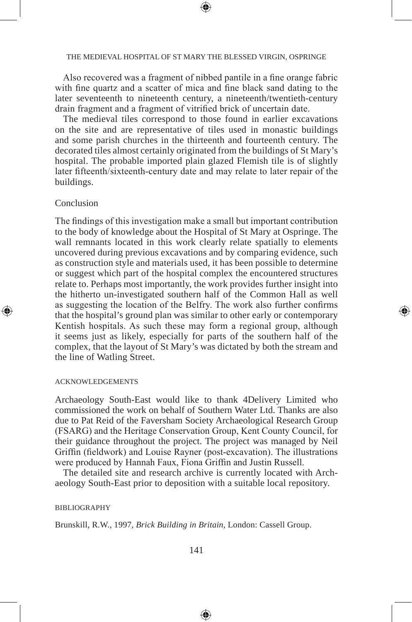#### THE MEDIEVAL HOSPITAL OF ST MARY THE BLESSED VIRGIN, OSPRINGE

Also recovered was a fragment of nibbed pantile in a fine orange fabric with fine quartz and a scatter of mica and fine black sand dating to the later seventeenth to nineteenth century, a nineteenth/twentieth-century drain fragment and a fragment of vitrified brick of uncertain date.

The medieval tiles correspond to those found in earlier excavations on the site and are representative of tiles used in monastic buildings and some parish churches in the thirteenth and fourteenth century. The decorated tiles almost certainly originated from the buildings of St Mary's hospital. The probable imported plain glazed Flemish tile is of slightly later fifteenth/sixteenth-century date and may relate to later repair of the buildings.

## Conclusion

The findings of this investigation make a small but important contribution to the body of knowledge about the Hospital of St Mary at Ospringe. The wall remnants located in this work clearly relate spatially to elements uncovered during previous excavations and by comparing evidence, such as construction style and materials used, it has been possible to determine or suggest which part of the hospital complex the encountered structures relate to. Perhaps most importantly, the work provides further insight into the hitherto un-investigated southern half of the Common Hall as well as suggesting the location of the Belfry. The work also further confirms that the hospital's ground plan was similar to other early or contemporary Kentish hospitals. As such these may form a regional group, although it seems just as likely, especially for parts of the southern half of the complex, that the layout of St Mary's was dictated by both the stream and the line of Watling Street.

#### acknowledgements

Archaeology South-East would like to thank 4Delivery Limited who commissioned the work on behalf of Southern Water Ltd. Thanks are also due to Pat Reid of the Faversham Society Archaeological Research Group (FSARG) and the Heritage Conservation Group, Kent County Council, for their guidance throughout the project. The project was managed by Neil Griffin (fieldwork) and Louise Rayner (post-excavation). The illustrations were produced by Hannah Faux, Fiona Griffin and Justin Russell.

The detailed site and research archive is currently located with Archaeology South-East prior to deposition with a suitable local repository.

## bibliography

Brunskill, R.W., 1997, *Brick Building in Britain*, London: Cassell Group.